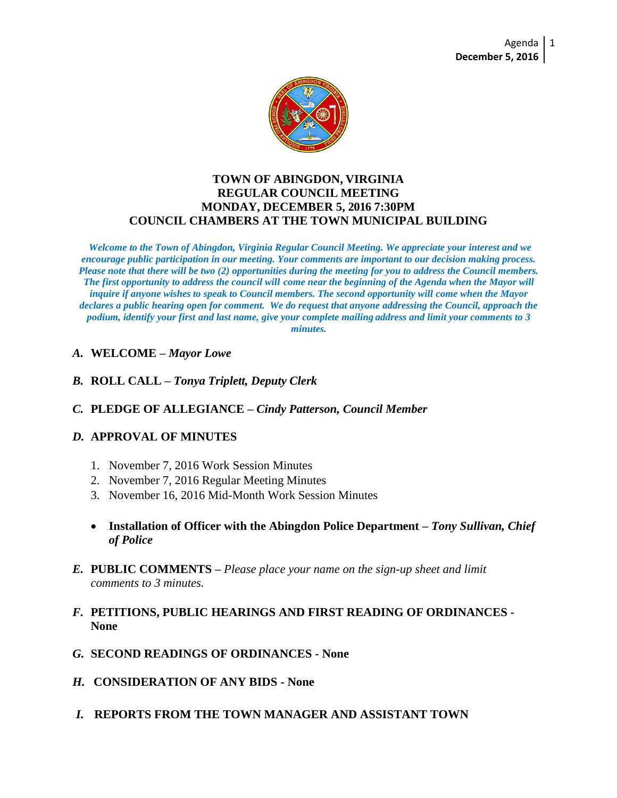

#### **TOWN OF ABINGDON, VIRGINIA REGULAR COUNCIL MEETING MONDAY, DECEMBER 5, 2016 7:30PM COUNCIL CHAMBERS AT THE TOWN MUNICIPAL BUILDING**

*Welcome to the Town of Abingdon, Virginia Regular Council Meeting. We appreciate your interest and we encourage public participation in our meeting. Your comments are important to our decision making process. Please note that there will be two (2) opportunities during the meeting for you to address the Council members. The first opportunity to address the council will come near the beginning of the Agenda when the Mayor will inquire if anyone wishes to speak to Council members. The second opportunity will come when the Mayor declares a public hearing open for comment. We do request that anyone addressing the Council, approach the podium, identify your first and last name, give your complete mailing address and limit your comments to 3 minutes.*

- *A.* **WELCOME –** *Mayor Lowe*
- *B.* **ROLL CALL –** *Tonya Triplett, Deputy Clerk*
- *C.* **PLEDGE OF ALLEGIANCE –** *Cindy Patterson, Council Member*
- *D.* **APPROVAL OF MINUTES**
	- 1. November 7, 2016 Work Session Minutes
	- 2. November 7, 2016 Regular Meeting Minutes
	- 3. November 16, 2016 Mid-Month Work Session Minutes
	- **Installation of Officer with the Abingdon Police Department –** *Tony Sullivan, Chief of Police*
- *E.* **PUBLIC COMMENTS –** *Please place your name on the sign-up sheet and limit comments to 3 minutes.*
- *F.* **PETITIONS, PUBLIC HEARINGS AND FIRST READING OF ORDINANCES - None**
- *G.* **SECOND READINGS OF ORDINANCES - None**
- *H.* **CONSIDERATION OF ANY BIDS - None**
- *I.* **REPORTS FROM THE TOWN MANAGER AND ASSISTANT TOWN**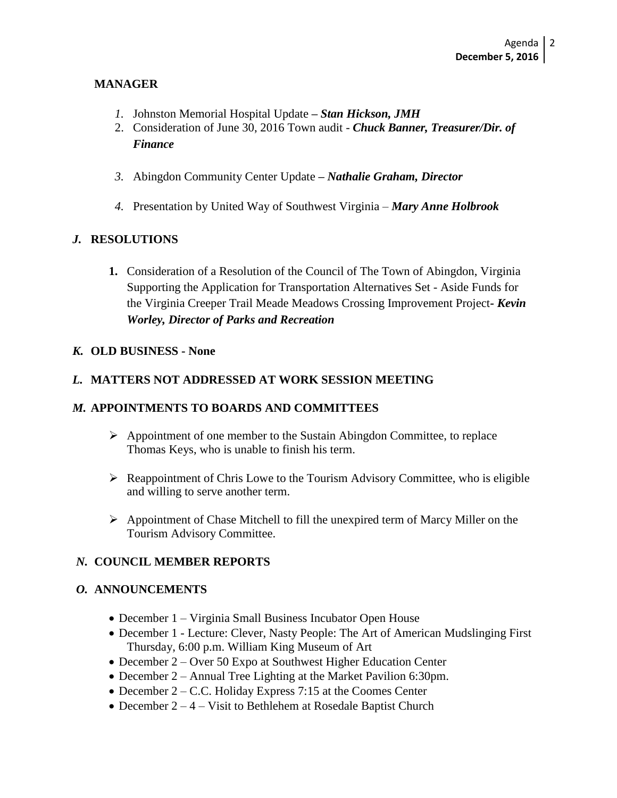#### **MANAGER**

- *1.* Johnston Memorial Hospital Update **–** *Stan Hickson, JMH*
- 2. Consideration of June 30, 2016 Town audit *Chuck Banner, Treasurer/Dir. of Finance*
- *3.* Abingdon Community Center Update **–** *Nathalie Graham, Director*
- *4.* Presentation by United Way of Southwest Virginia *Mary Anne Holbrook*

# *J.* **RESOLUTIONS**

**1.** Consideration of a Resolution of the Council of The Town of Abingdon, Virginia Supporting the Application for Transportation Alternatives Set - Aside Funds for the Virginia Creeper Trail Meade Meadows Crossing Improvement Project*- Kevin Worley, Director of Parks and Recreation*

#### *K.* **OLD BUSINESS - None**

## *L.* **MATTERS NOT ADDRESSED AT WORK SESSION MEETING**

## *M.* **APPOINTMENTS TO BOARDS AND COMMITTEES**

- $\triangleright$  Appointment of one member to the Sustain Abingdon Committee, to replace Thomas Keys, who is unable to finish his term.
- $\triangleright$  Reappointment of Chris Lowe to the Tourism Advisory Committee, who is eligible and willing to serve another term.
- $\triangleright$  Appointment of Chase Mitchell to fill the unexpired term of Marcy Miller on the Tourism Advisory Committee.

## *N.* **COUNCIL MEMBER REPORTS**

#### *O.* **ANNOUNCEMENTS**

- December 1 Virginia Small Business Incubator Open House
- December 1 Lecture: Clever, Nasty People: The Art of American Mudslinging First Thursday, 6:00 p.m. William King Museum of Art
- December 2 Over 50 Expo at Southwest Higher Education Center
- December 2 Annual Tree Lighting at the Market Pavilion 6:30pm.
- December 2 C.C. Holiday Express 7:15 at the Coomes Center
- December  $2 4 V$ isit to Bethlehem at Rosedale Baptist Church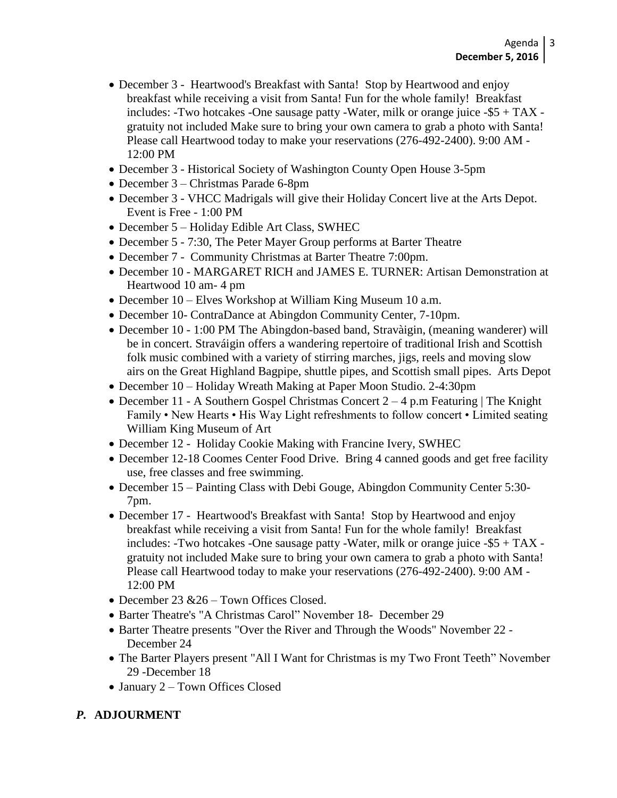- December 3 Heartwood's Breakfast with Santa! Stop by Heartwood and enjoy breakfast while receiving a visit from Santa! Fun for the whole family! Breakfast includes: -Two hotcakes -One sausage patty -Water, milk or orange juice -\$5 + TAX gratuity not included Make sure to bring your own camera to grab a photo with Santa! Please call Heartwood today to make your reservations (276-492-2400). 9:00 AM - 12:00 PM
- December 3 Historical Society of Washington County Open House 3-5pm
- December 3 Christmas Parade 6-8pm
- December 3 VHCC Madrigals will give their Holiday Concert live at the Arts Depot. Event is Free - 1:00 PM
- December 5 Holiday Edible Art Class, SWHEC
- December 5 7:30, The Peter Mayer Group performs at Barter Theatre
- December 7 Community Christmas at Barter Theatre 7:00pm.
- December 10 MARGARET RICH and JAMES E. TURNER: Artisan Demonstration at Heartwood 10 am- 4 pm
- December 10 Elves Workshop at William King Museum 10 a.m.
- December 10- ContraDance at Abingdon Community Center, 7-10pm.
- December 10 1:00 PM The Abingdon-based band, Stravàigin, (meaning wanderer) will be in concert. Straváigin offers a wandering repertoire of traditional Irish and Scottish folk music combined with a variety of stirring marches, jigs, reels and moving slow airs on the Great Highland Bagpipe, shuttle pipes, and Scottish small pipes. Arts Depot
- December 10 Holiday Wreath Making at Paper Moon Studio. 2-4:30pm
- December 11 A Southern Gospel Christmas Concert  $2 4$  p.m Featuring | The Knight Family • New Hearts • His Way Light refreshments to follow concert • Limited seating William King Museum of Art
- December 12 Holiday Cookie Making with Francine Ivery, SWHEC
- December 12-18 Coomes Center Food Drive. Bring 4 canned goods and get free facility use, free classes and free swimming.
- December 15 Painting Class with Debi Gouge, Abingdon Community Center 5:30- 7pm.
- December 17 Heartwood's Breakfast with Santa! Stop by Heartwood and enjoy breakfast while receiving a visit from Santa! Fun for the whole family! Breakfast includes: -Two hotcakes -One sausage patty -Water, milk or orange juice -\$5 + TAX gratuity not included Make sure to bring your own camera to grab a photo with Santa! Please call Heartwood today to make your reservations (276-492-2400). 9:00 AM - 12:00 PM
- December 23 & 26 Town Offices Closed.
- Barter Theatre's "A Christmas Carol" November 18- December 29
- Barter Theatre presents "Over the River and Through the Woods" November 22 -December 24
- The Barter Players present "All I Want for Christmas is my Two Front Teeth" November 29 -December 18
- January 2 Town Offices Closed

## *P.* **ADJOURMENT**